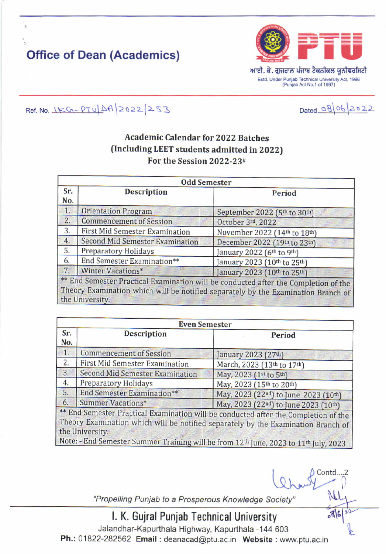## **Office of Dean (Academics)**



Dated 08 06 2022

Contd....2

 $\sqrt{2}$ 

Ref. No. 15G-PTU AA 2022 253

## **Academic Calendar for 2022 Batches** (Including LEET students admitted in 2022) For the Session 2022-23#

| <b>Odd Semester</b> |                                        |                                                                                                                                                                          |
|---------------------|----------------------------------------|--------------------------------------------------------------------------------------------------------------------------------------------------------------------------|
| Sr.<br>No.          | <b>Description</b>                     | Period                                                                                                                                                                   |
| 1.                  | <b>Orientation Program</b>             | September 2022 (5th to 30th)                                                                                                                                             |
| 2.                  | <b>Commencement of Session</b>         | October 3rd, 2022                                                                                                                                                        |
| 3.                  | <b>First Mid Semester Examination</b>  | November 2022 (14th to 18th)                                                                                                                                             |
| 4.                  | <b>Second Mid Semester Examination</b> | December 2022 (19th to 23th)                                                                                                                                             |
| 5.                  | Preparatory Holidays                   | January 2022 (6th to 9th)                                                                                                                                                |
| 6.                  | End Semester Examination**             | January 2023 (10th to 25th)                                                                                                                                              |
| 7.                  | Winter Vacations*                      | January 2023 (10th to 25th)                                                                                                                                              |
|                     | the University.                        | ** End Semester Practical Examination will be conducted after the Completion of the<br>Theory Examination which will be notified separately by the Examination Branch of |

| <b>Even Semester</b> |                                        |                                                                                                                                                                          |  |
|----------------------|----------------------------------------|--------------------------------------------------------------------------------------------------------------------------------------------------------------------------|--|
| Sr.<br>No.           | <b>Description</b>                     | Period                                                                                                                                                                   |  |
| 1.                   | <b>Commencement of Session</b>         | January 2023 (27th)                                                                                                                                                      |  |
| 2.                   | First Mid Semester Examination         | March, 2023 (13th to 17th)                                                                                                                                               |  |
| 3.                   | <b>Second Mid Semester Examination</b> | May, 2023 (1st to 5th)                                                                                                                                                   |  |
| 4.                   | Preparatory Holidays                   | May, 2023 (15th to 20th)                                                                                                                                                 |  |
| 5.                   | <b>End Semester Examination**</b>      | May, 2023 (22nd) to June 2023 (10th)                                                                                                                                     |  |
| 6.                   | Summer Vacations*                      | May, 2023 (22nd) to June 2023 (10th)                                                                                                                                     |  |
|                      | the University.                        | ** End Semester Practical Examination will be conducted after the Completion of the<br>Theory Examination which will be notified separately by the Examination Branch of |  |

| Note: - End Semester Summer Training will be from 12<sup>th</sup> June, 2023 to 11<sup>th</sup> July, 2023 |

"Propelling Punjab to a Prosperous Knowledge Society"

I. K. Gujral Punjab Technical University

Jalandhar-Kapurthala Highway, Kapurthala -144 603 Ph.: 01822-282562 Email: deanacad@ptu.ac.in Website: www.ptu.ac.in